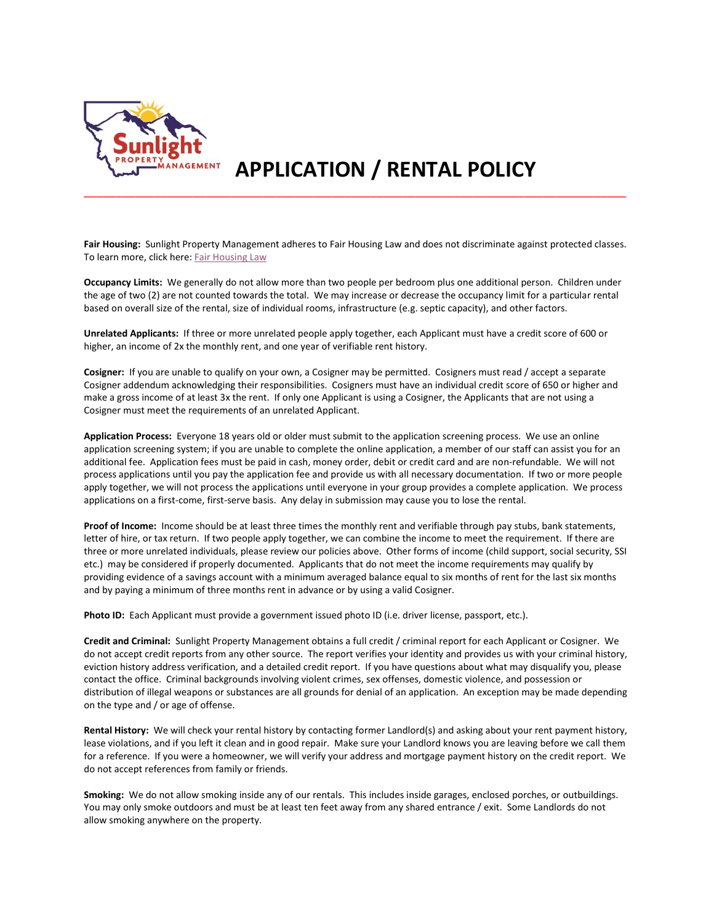

## **APPLICATION / RENTAL POLICY**

**Fair Housing:** Sunlight Property Management adheres to Fair Housing Law and does not discriminate against protected classes. To learn more, click here: [Fair Housing Law](https://www.hud.gov/program_offices/fair_housing_equal_opp/fair_housing_act_overview)

\_\_\_\_\_\_\_\_\_\_\_\_\_\_\_\_\_\_\_\_\_\_\_\_\_\_\_\_\_\_\_\_\_\_\_\_\_\_\_\_\_\_\_\_\_\_\_\_\_\_\_\_\_\_\_\_\_\_\_\_\_\_\_\_\_\_\_\_\_\_\_\_\_\_\_\_\_\_\_\_\_\_\_\_\_

**Occupancy Limits:** We generally do not allow more than two people per bedroom plus one additional person. Children under the age of two (2) are not counted towards the total. We may increase or decrease the occupancy limit for a particular rental based on overall size of the rental, size of individual rooms, infrastructure (e.g. septic capacity), and other factors.

**Unrelated Applicants:** If three or more unrelated people apply together, each Applicant must have a credit score of 600 or higher, an income of 2x the monthly rent, and one year of verifiable rent history.

**Cosigner:** If you are unable to qualify on your own, a Cosigner may be permitted. Cosigners must read / accept a separate Cosigner addendum acknowledging their responsibilities. Cosigners must have an individual credit score of 650 or higher and make a gross income of at least 3x the rent. If only one Applicant is using a Cosigner, the Applicants that are not using a Cosigner must meet the requirements of an unrelated Applicant.

**Application Process:** Everyone 18 years old or older must submit to the application screening process. We use an online application screening system; if you are unable to complete the online application, a member of our staff can assist you for an additional fee. Application fees must be paid in cash, money order, debit or credit card and are non-refundable. We will not process applications until you pay the application fee and provide us with all necessary documentation. If two or more people apply together, we will not process the applications until everyone in your group provides a complete application. We process applications on a first-come, first-serve basis. Any delay in submission may cause you to lose the rental.

**Proof of Income:** Income should be at least three times the monthly rent and verifiable through pay stubs, bank statements, letter of hire, or tax return. If two people apply together, we can combine the income to meet the requirement. If there are three or more unrelated individuals, please review our policies above. Other forms of income (child support, social security, SSI etc.) may be considered if properly documented. Applicants that do not meet the income requirements may qualify by providing evidence of a savings account with a minimum averaged balance equal to six months of rent for the last six months and by paying a minimum of three months rent in advance or by using a valid Cosigner.

**Photo ID:** Each Applicant must provide a government issued photo ID (i.e. driver license, passport, etc.).

**Credit and Criminal:** Sunlight Property Management obtains a full credit / criminal report for each Applicant or Cosigner. We do not accept credit reports from any other source. The report verifies your identity and provides us with your criminal history, eviction history address verification, and a detailed credit report. If you have questions about what may disqualify you, please contact the office. Criminal backgrounds involving violent crimes, sex offenses, domestic violence, and possession or distribution of illegal weapons or substances are all grounds for denial of an application. An exception may be made depending on the type and / or age of offense.

**Rental History:** We will check your rental history by contacting former Landlord(s) and asking about your rent payment history, lease violations, and if you left it clean and in good repair. Make sure your Landlord knows you are leaving before we call them for a reference. If you were a homeowner, we will verify your address and mortgage payment history on the credit report. We do not accept references from family or friends.

**Smoking:** We do not allow smoking inside any of our rentals. This includes inside garages, enclosed porches, or outbuildings. You may only smoke outdoors and must be at least ten feet away from any shared entrance / exit. Some Landlords do not allow smoking anywhere on the property.